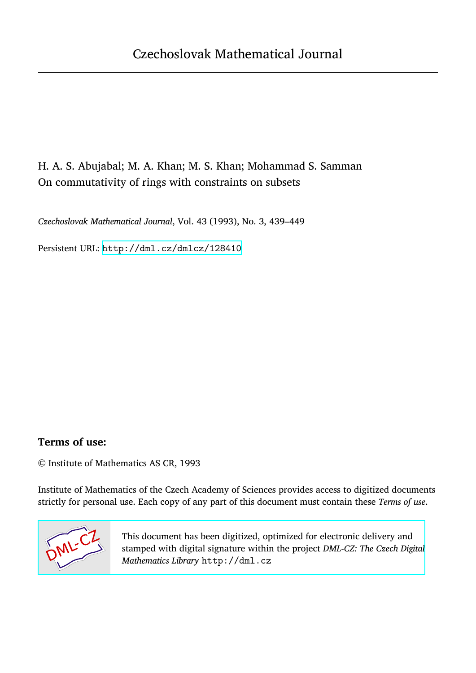# H. A. S. Abujabal; M. A. Khan; M. S. Khan; Mohammad S. Samman On commutativity of rings with constraints on subsets

*Czechoslovak Mathematical Journal*, Vol. 43 (1993), No. 3, 439–449

Persistent URL: <http://dml.cz/dmlcz/128410>

### **Terms of use:**

© Institute of Mathematics AS CR, 1993

Institute of Mathematics of the Czech Academy of Sciences provides access to digitized documents strictly for personal use. Each copy of any part of this document must contain these *Terms of use*.



[This document has been digitized, optimized for electronic delivery and](http://dml.cz) stamped with digital signature within the project *DML-CZ: The Czech Digital Mathematics Library* http://dml.cz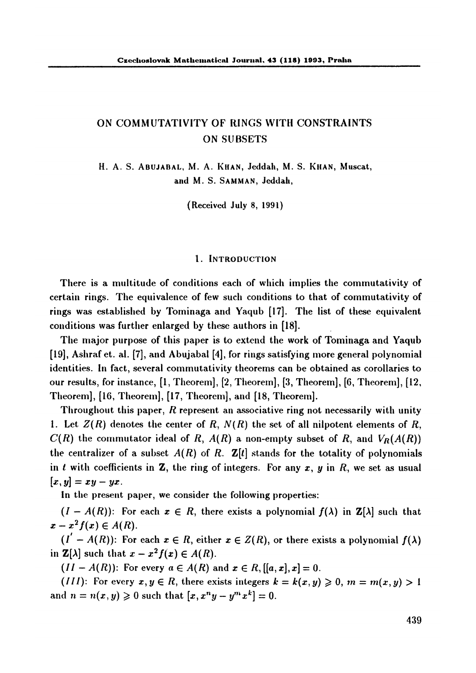## **ON COMMUTATIVITY OF RINGS WITH CONSTRAINTS ON SUBSETS**

**H**. A**. S.** A**BUJABAL,** M. A. **KHAN,** J**eddah, M**. **S. KHAN, Muscat, and** M. **S. SAMMAN,** J**eddah**,

**(Received** J**ul**y **8, 1991)** 

#### **l . IN**T**ROD**U**C**T**ION**

**There is a multitude** o**f c**o**nditi**o**ns each** o**f which im**p**lies the c**o**mmutativit**y o**f certain rings**. **The e**q**uivalence** o**f few such c**o**nditi**o**ns t**o **that** o**f c**o**mmutativit**y o**f rings was established b**y **T**o**minaga and Ya**q**ub [1**7**]. The list** o**f these e**q**uivalent c**o**nditi**o**ns was further enlarged b**y **these auth**o**rs in [18].** 

**The maj**o**r** pu**r**pose o**f this** pape**r is t**o **extend the w**o**rk** o**f T**o**minaga and Ya**q**ub [19], Ashraf et**. **al. [**7**], and Abujabal [4],** fo**r rings satisf**y**ing m**o**re general** po**l**y**n**o**mial identities. In fact, several c**o**mmutativit**y **the**o**rems can be** o**btained as c**o**r**o**llaries t**o ou**r results,** fo**r instance, [1, The**o**rem], [2, The**o**rem], [3, The**o**rem], [6, The**o**rem], [12, The**o**rem], [16, The**o**rem], [1**7**, The**o**rem], and [18, The**o**rem].** 

**Thr**o**ugh**o**ut this** p**a**p**er,** *R* **re**p**resent an ass**o**ciative ring n**o**t necessaril**y **with unit**y **1.** Let  $Z(R)$  denotes the center of R,  $N(R)$  the set of all nilpotent elements of R,  $C(R)$  the commutator ideal of R,  $A(R)$  a non-empty subset of R, and  $V_R(A(R))$ **the centralizer of a subset**  $A(R)$  of R.  $\mathbf{Z}[t]$  stands for the totality of polynomials in *t* with coefficients in **Z**, the ring of integers. For any  $x$ ,  $y$  in  $R$ , we set as usual  $[x, y] = xy - yx.$ 

**In the** p**resent** p**a**p**er, we c**o**nsider the f**o**ll**o**wing** p**r**op**erties:** 

 $(I - A(R))$ : For each  $x \in R$ , there exists a polynomial  $f(\lambda)$  in  $\mathbb{Z}[\lambda]$  such that  $x - x^2 f(x) \in A(R)$ .

 $(I^{\prime} - A(R))$ : For each  $x \in R$ , either  $x \in Z(R)$ , or there exists a polynomial  $f(\lambda)$ in  $\mathbf{Z}[\lambda]$  such that  $x - x^2 f(x) \in A(R)$ .

*(II - A(R)):* For every  $a \in A(R)$  and  $x \in R$ ,  $[[a, x], x] = 0$ .

*(III):* For every  $x, y \in R$ , there exists integers  $k = k(x, y) \geq 0$ ,  $m = m(x, y) > 1$ and  $n = n(x, y) \ge 0$  such that  $[x, x^n y - y^m x^k] = 0$ .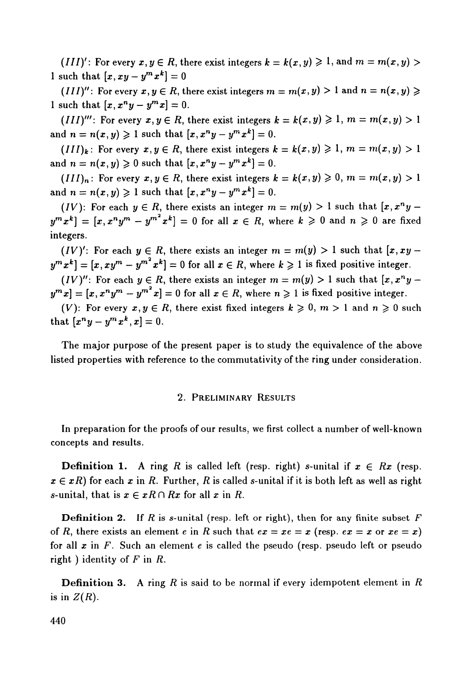(*III*)': For every  $x, y \in R$ , there exist integers  $k = k(x, y) \ge 1$ , and  $m = m(x, y) > 0$ **1** such that  $[x, xy - y^m x^k] = 0$ 

(*III*)": For every  $x, y \in R$ , there exist integers  $m = m(x, y) > 1$  and  $n = n(x, y) \geq$ **1** such that  $[x, x^n y - y^m x] = 0$ .

(*III*)''': For every  $x, y \in R$ , there exist integers  $k = k(x, y) \ge 1$ ,  $m = m(x, y) > 1$  $\text{and } n = n(x, y) \geqslant 1 \text{ such that } [x, x^n y - y^m x^k] = 0.$ 

 $(III)_k$ : For every  $x, y \in R$ , there exist integers  $k = k(x, y) \ge 1$ ,  $m = m(x, y) > 1$ **and**  $n = n(x, y) \ge 0$  such that  $[x, x^n y - y^m x^k] = 0$ .

(*III*)<sub>n</sub>: For every  $x, y \in R$ , there exist integers  $k = k(x, y) \ge 0$ ,  $m = m(x, y) > 1$  $\text{and } n = n(x, y) \geqslant 1 \text{ such that } [x, x^n y - y^m x^k] = 0.$ 

(*IV*): For each  $y \in R$ , there exists an integer  $m = m(y) > 1$  such that  $[x, x^n y - x_{n+1}]$  $\mathbf{y}^m \mathbf{x}^k$  =  $[\mathbf{x}, \mathbf{x}^n \mathbf{y}^m - \mathbf{y}^{m^*} \mathbf{x}^k] = 0$  for all  $\mathbf{x} \in R$ , where  $k \geqslant 0$  and  $n \geqslant 0$  are fixed **integers**.

*(IV)':* For each  $y \in R$ , there exists an integer  $m = m(y) > 1$  such that  $[x, xy [\mathbf{y}^m \mathbf{x}^k] = [\mathbf{x}, \mathbf{x} \mathbf{y}^m - \mathbf{y}^m^* \mathbf{x}^k] = 0$  for all  $\mathbf{x} \in R$ , where  $k \geqslant 1$  is fixed positive integer.

 $(IV)''$ : For each  $y \in R$ , there exists an integer  $m = m(y) > 1$  such that  $[x, x^n y$  $y^m x$ ] =  $[x, x^n y^m - y^{m^*} x] = 0$  for all  $x \in R$ , where  $n \ge 1$  is fixed positive integer.

(*V*): For every  $x, y \in R$ , there exist fixed integers  $k \geq 0$ ,  $m > 1$  and  $n \geq 0$  such **that**  $[x^n y - y^m x^k, x] = 0.$ 

T**he maj**o**r** p**ur**po**se** o**f the** p**resent** p**a**p**er is t**o **stu**dy **the e**q**uivalence** o**f the ab**o**ve liste**d p**r**op**erties with reference t**o **the c**o**mmutativit**y o**f the ring un**d**er c**o**nsi**d**erati**o**n**.

#### **2**. **P**R**ELIMINA**R**Y RES**U**L**T**S**

I**n** p**re**p**arati**o**n f**o**r the** p**r**oo**fs** o**f** o**ur resul**t**s, we first c**o**llect a number** o**f well**-**kn**o**wn c**o**nce**p**ts an**d **results**.

**Definition 1.** A ring R is called left (resp. right) s-unital if  $x \in Rx$  (resp.  $x \in xR$ ) for each x in R. Further, R is called s-unital if it is both left as well as right *s*-unital, that is  $x \in xR \cap Rx$  for all x in R.

**Definition 2.** If  $R$  is s-unital (resp. left or right), then for any finite subset  $F$ of *R*, there exists an element *e* in *R* such that  $ex = xe = x$  (resp.  $ex = x$  or  $xe = x$ ) fo**r all x in** *F*. **Such an element e is calle**d **the** p**seu**do **(res**p. p**seu**do **left** o**r** p**seu**do **right ) i**d**entit**y o**f** *F* **in** *R.* 

**Definition 3. A ring** *R* **is sai**d **t**o **be n**o**rmal if ever**y **i**d**em**po**tent element in** *R*  is in  $Z(R)$ .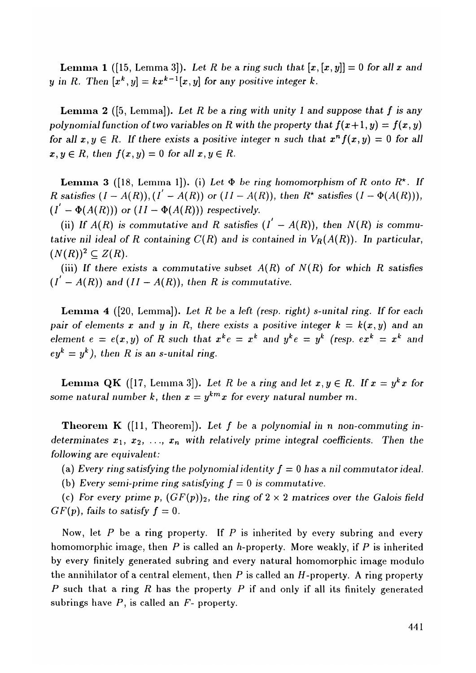**Lemma 1** ([15, Lemma 3]). Let R be a ring such that  $[x,[x, y]] = 0$  for all x and *y* in *R*. Then  $[x^k, y] = kx^{k-1}[x, y]$  for any positive integer k.

**Lemm a 2** ([5, Lemma]). *Let R be a ring with unity I and suppose that f is any*  polynomial function of two variables on R with the property that  $f(x+1,y) = f(x,y)$ *for all*  $x, y \in R$ . If there exists a positive integer n such that  $x^n f(x, y) = 0$  for all  $x, y \in R$ , then  $f(x, y) = 0$  for all  $x, y \in R$ .

**Lemma 3** ([18, Lemma 1]). (i) Let  $\Phi$  be ring homomorphism of R onto  $R^*$ . If *R satisfies*  $(I - A(R)), (I' - A(R))$  or  $(II - A(R)),$  then  $R^*$  satisfies  $(I - \Phi(A(R))),$  $(I' - \Phi(A(R)))$  or  $(II - \Phi(A(R)))$  respectively.

(ii) If  $A(R)$  is commutative and R satisfies  $(I' - A(R))$ , then  $N(R)$  is commu*tative nil ideal of R containing*  $C(R)$  *and is contained in*  $V_R(A(R))$ *. In particular,*  $(N(R))^2 \subseteq Z(R)$ .

(iii) If there exists a commutative subset  $A(R)$  of  $N(R)$  for which R satisfies  $(I' - A(R))$  and  $(II - A(R))$ , then R is commutative.

**Lemma 4** ([20, Lemma]). Let R be a left (resp. right) s-unital ring. If for each *pair of elements x and y in R, there exists a positive integer*  $k = k(x, y)$  *and an element*  $e = e(x, y)$  of R such that  $x^k e = x^k$  and  $y^k e = y^k$  (resp.  $e x^k = x^k$  and  $ey<sup>k</sup> = y<sup>k</sup>$ ), then R is an s-unital ring.

**Lemma QK** ([17, Lemma 3]). Let R be a ring and let  $x, y \in R$ . If  $x = y^k x$  for *some natural number k, then*  $x = y^{km}x$  *for every natural number m.* 

**Theorem K** ([11, Theorem]). Let f be a polynomial in n non-commuting in*determinates*  $x_1, x_2, \ldots, x_n$  with relatively prime integral coefficients. Then the *following are equivalent:* 

(a) *Every ring satisfying the polynomial identity f =* 0 *has a nil commutator ideal.* 

(b) Every semi-prime ring satisfying  $f = 0$  is commutative.

(c) For every prime p,  $(GF(p))_2$ , the ring of  $2 \times 2$  matrices over the Galois field  $GF(p)$ , fails to satisfy  $f = 0$ .

Now, let *P* be a ring property*.* If *P* is inherited by every subring and every homomorphic image, then *P* is called an *h*-property. More weakly, if *P* is inherited by every finitely generated subring and every natural homomorphic image modulo the annihilator of a central element, then *P* is called an *H*-property. A ring property *P* such that a ring *R* has the property *P* if and only if all its finitely generated subrings have *P,* is called an *F*- property.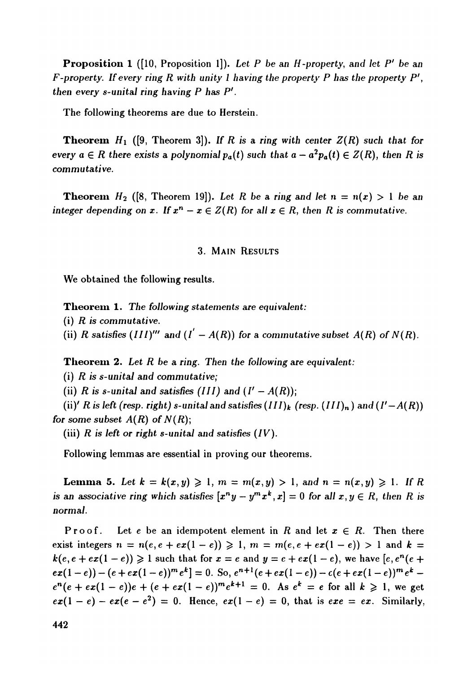**Proposition 1** ([10, Proposition 1]). Let P be an H-property, and let P' be an *F-property. If every ring R with unity 1 having the property P has the property P', then every s-unital ring having P has P'.* 

The following theorems are due to Herstein.

**Theorem**  $H_1$  ([9, Theorem 3]). If R is a ring with center  $Z(R)$  such that for *every*  $a \in R$  there exists a polynomial  $p_a(t)$  such that  $a - a^2 p_a(t) \in Z(R)$ , then R is *commutative.* 

**Theorem**  $H_2$  ([8, Theorem 19]). Let R be a ring and let  $n = n(x) > 1$  be an *integer depending on x. If*  $x^n - x \in Z(R)$  for all  $x \in R$ , then R is commutative.

#### 3. MAIN RESULTS

We obtained the following results*.* 

**Theorem** 1. *The following statements are equivalent:* 

(i) *R is commutative.* 

(ii) R satisfies  $(III)'''$  and  $(I' - A(R))$  for a commutative subset  $A(R)$  of  $N(R)$ .

Theorem 2. *Let R be a ring. Then the following are equivalent:* 

(i) *R is s-unital and commutative;* 

(ii) R is s-unital and satisfies (III) and  $(I' - A(R))$ ;

(ii)' *R* is left (resp. right) s-unital and satisfies  $(III)_k$  (resp.  $(III)_n$ ) and  $(I'-A(R))$ *for some subset A(R) of N(R);* 

(iii)  $R$  is left or right s-unital and satisfies  $(IV)$ .

Following lemmas are essential in proving our theorems*.* 

**Lemma 5.** Let  $k = k(x, y) \ge 1$ ,  $m = m(x, y) > 1$ , and  $n = n(x, y) \ge 1$ . If R *is an associative ring which satisfies*  $[x^n y - y^m x^k, x] = 0$  for all  $x, y \in R$ , then R is *normal.* 

Proof. Let e be an idempotent element in  $R$  and let  $x \in R$ . Then there exist integers  $n = n(e, e + ex(1 - e)) \ge 1$ ,  $m = m(e, e + ex(1 - e)) > 1$  and  $k =$  $k(e, e + e x (1 - e)) \geqslant 1$  such that for  $x = e$  and  $y = e + e x (1 - e)$ , we have  $[e, e^n (e +$  $ex(1-e)-(e+ex(1-e))^{m}e^{k}]=0.$  So,  $e^{n+1}(e+ex(1-e)) - c(e+ex(1-e))^{m}e^{k}$  $e^{n}(e + ex(1 - e))e + (e + ex(1 - e))^{m}e^{k+1} = 0$ . As  $e^{k} = e$  for all  $k \ge 1$ , we get  $ex(1-e) - ex(e - e^2) = 0$ . Hence,  $ex(1-e) = 0$ , that is  $exe = ex$ . Similarly,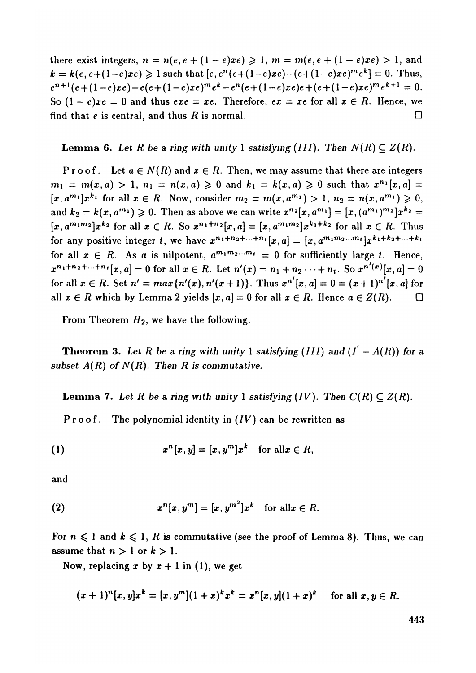**there exist integers,**  $n = n(e, e + (1 - e)xe) \ge 1$ ,  $m = m(e, e + (1 - e)xe) > 1$ , and  $k = k(e, e + (1-e)xe) \ge 1$  such that  $[e, e^n(e + (1-e)xe) - (e + (1-e)xe)^m e^k] = 0$ . Thus,  $e^{n+1}(e+(1-e)xe) - e(e+(1-e)xe)^me^k - e^n(e+(1-e)xe)e + (e+(1-e)xe)^me^{k+1} = 0.$ So  $(1-e)xe = 0$  and thus  $exe = xe$ . Therefore,  $ex = xe$  for all  $x \in R$ . Hence, we **find that e is central, and thus R** is normal.  $\square$ 

**Lemma 6.** Let R be a ring with unity 1 satisfying (III). Then  $N(R) \subseteq Z(R)$ .

**Proof.** Let  $a \in N(R)$  and  $x \in R$ . Then, we may assume that there are integers  $m_1 = m(x, a) > 1$ ,  $n_1 = n(x, a) \ge 0$  and  $k_1 = k(x, a) \ge 0$  such that  $x^{n_1}[x, a] =$  $[x, a^{m_1}]x^{k_1}$  for all  $x \in R$ . Now, consider  $m_2 = m(x, a^{m_1}) > 1$ ,  $n_2 = n(x, a^{m_1}) \ge 0$ , **and**  $k_2 = k(x, a^{m_1}) \ge 0$ . Then as above we can write  $x^{n_2}[x, a^{m_1}] = [x, (a^{m_1})^{m_2}]x^{k_2} =$  $[x, a^{m_1m_2}]x^{k_2}$  for all  $x \in R$ . So  $x^{n_1+n_2}[x, a] = [x, a^{m_1m_2}]x^{k_1+k_2}$  for all  $x \in R$ . Thus for any positive integer t, we have  $x^{n_1+n_2+\ldots+n_t}[x,a] = [x,a^{m_1m_2\ldots m_t}]x^{k_1+k_2+\ldots+k_t}$ for all  $x \in R$ . As a is nilpotent,  $a^{m_1 m_2 \ldots m_t} = 0$  for sufficiently large *t*. Hence,  $x^{n_1+n_2+\dots+n_t}[x, a] = 0$  for all  $x \in R$ . Let  $n'(x) = n_1+n_2\dots+n_t$ . So  $x^{n'(x)}[x, a] = 0$ **for all**  $x \in R$ . Set  $n' = max\{n'(x), n'(x+1)\}$ . Thus  $x^{n'}[x, a] = 0 = (x+1)^{n'}[x, a]$  for **all**  $x \in R$  which by Lemma 2 yields  $[x, a] = 0$  for all  $x \in R$ . Hence  $a \in Z(R)$ .  $\Box$ 

From Theorem  $H_2$ , we have the following.

**Theorem 3.** Let R be a ring with unity 1 satisfying (III) and  $(I' - A(R))$  for a *subset A(R) of N(R). Then R is commutative.* 

**Lemma 7.** Let R be a ring with unity 1 satisfying  $(IV)$ . Then  $C(R) \subset Z(R)$ .

**P r** o o **f.** T**he p**o**l**y**n**o**mial i**d**entit**y **in (***IV***) can be rewritten as** 

$$
(1) \t xn[x, y] = [x, ym]xk for all x \in R,
$$

**an**d

$$
(2) \t xn[x, ym] = [x, ym2]xk for all x \in R.
$$

For  $n \leq 1$  and  $k \leq 1$ , *R* is commutative (see the proof of Lemma 8). Thus, we can assume that  $n > 1$  or  $k > 1$ .

Now, replacing x by  $x + 1$  in (1), we get

$$
(x+1)^n[x,y]x^k = [x,y^m](1+x)^k x^k = x^n[x,y](1+x)^k \text{ for all } x, y \in R.
$$

443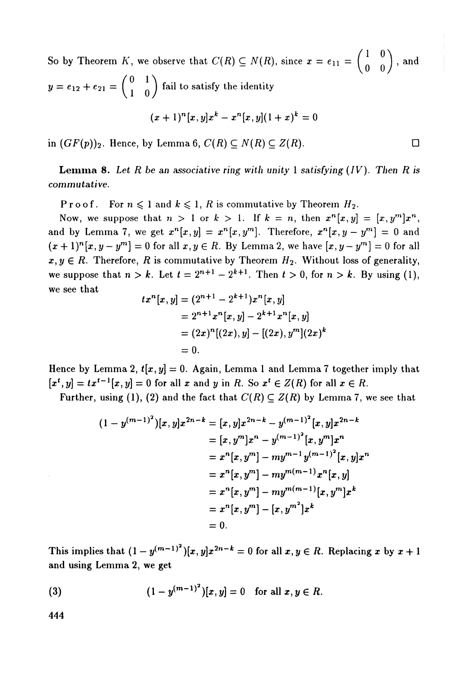So by Theorem *K*, we observe that  $C(R) \subseteq N(R)$ , since  $x = e_{11} = \begin{pmatrix} 1 & 0 \\ 0 & 0 \end{pmatrix}$ , and  $y = e_{12} + e_{21} = \begin{pmatrix} 0 & 1 \\ 1 & 0 \end{pmatrix}$  fail to satisfy the identity  $(x + 1)^n [x, y] x^k - x^n [x, y] (1 + x)^k = 0$ 

in  $(GF(p))_2$ . Hence, by Lemma 6,  $C(R) \subset N(R) \subset Z(R)$ .

**Lemma 8.** *Let R be an associative ring with unity* 1 *satisfying (IV). Then R is commutative.* 

**Proof.** For  $n \leq 1$  and  $k \leq 1$ , R is commutative by Theorem  $H_2$ .

Now, we suppose that  $n > 1$  or  $k > 1$ . If  $k = n$ , then  $x^n[x, y] = [x, y^m]x^n$ , and by Lemma 7, we get  $x^n[x,y] = x^n[x,y^m]$ . Therefore,  $x^n[x,y-y^m] = 0$  and  $(x+1)^n[x,y-y^m]=0$  for all  $x,y\in R$ . By Lemma 2, we have  $[x,y-y^m]=0$  for all  $x, y \in R$ . Therefore, R is commutative by Theorem  $H_2$ . Without loss of generality, we suppose that  $n > k$ . Let  $t = 2^{n+1} - 2^{k+1}$ . Then  $t > 0$ , for  $n > k$ . By using (1), we see that

$$
tx^{n}[x, y] = (2^{n+1} - 2^{k+1})x^{n}[x, y]
$$
  
=  $2^{n+1}x^{n}[x, y] - 2^{k+1}x^{n}[x, y]$   
=  $(2x)^{n}[(2x), y] - [(2x), y^{m}](2x)^{k}$   
= 0.

Hence by Lemma 2,  $t[x,y] = 0$ . Again, Lemma 1 and Lemma 7 together imply that  $[x^t, y] = tx^{t-1}[x, y] = 0$  for all x and y in R. So  $x^t \in Z(R)$  for all  $x \in R$ .

Further, using (1), (2) and the fact that  $C(R) \subseteq Z(R)$  by Lemma 7, we see that

$$
(1 - y^{(m-1)^2})[x, y]x^{2n-k} = [x, y]x^{2n-k} - y^{(m-1)^2}[x, y]x^{2n-k}
$$
  
\n
$$
= [x, y^m]x^n - y^{(m-1)^2}[x, y^m]x^n
$$
  
\n
$$
= x^n[x, y^m] - my^{m-1}y^{(m-1)^2}[x, y]x^n
$$
  
\n
$$
= x^n[x, y^m] - my^{m(m-1)}x^n[x, y]
$$
  
\n
$$
= x^n[x, y^m] - my^{m(m-1)}[x, y^m]x^k
$$
  
\n
$$
= x^n[x, y^m] - [x, y^m]^2x^k
$$
  
\n
$$
= 0.
$$

This implies that  $(1 - y^{(m-1)^2})[x, y]x^{2n-k} = 0$  for all  $x, y \in R$ . Replacing x by  $x + 1$ and using Lemma 2, we get

(3) 
$$
(1 - y^{(m-1)^2})[x, y] = 0 \text{ for all } x, y \in R.
$$

444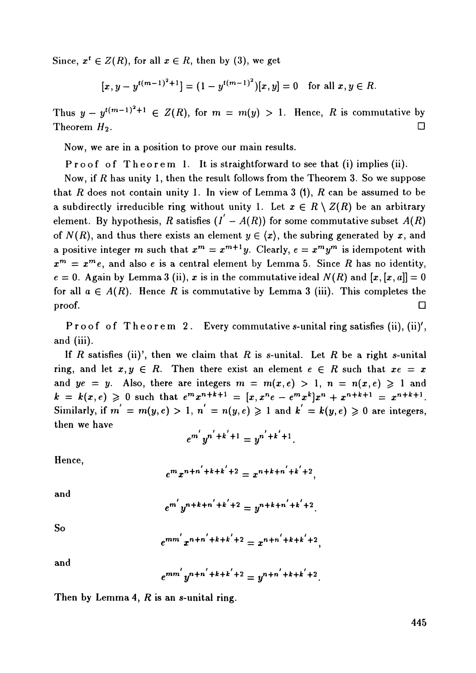Since,  $x^t \in Z(R)$ , for all  $x \in R$ , then by (3), we get

$$
[x, y - y^{t(m-1)^2+1}] = (1 - y^{t(m-1)^2})[x, y] = 0 \text{ for all } x, y \in R.
$$

Thus  $y - y^{t(m-1)^2+1} \in Z(R)$ , for  $m = m(y) > 1$ . Hence, R is commutative by Theorem  $H_2$ . .  $\Box$ 

Now, we are in a position to prove our main results.

Proof of Theorem 1. It is straightforward to see that (i) implies (ii).

Now, if *R* has unity 1, then the result follows from the Theorem 3. So we suppose that *R* does not contain unity 1. In view of Lemma 3 (1), *R* can be assumed to be a subdirectly irreducible ring without unity 1. Let  $x \in R \setminus Z(R)$  be an arbitrary element. By hypothesis, R satisfies  $(I' - A(R))$  for some commutative subset  $A(R)$ of  $N(R)$ , and thus there exists an element  $y \in \langle x \rangle$ , the subring generated by x, and a positive integer m such that  $x^m = x^{m+1}y$ . Clearly,  $e = x^m y^m$  is idempotent with  $x^m = x^m e$ , and also e is a central element by Lemma 5. Since R has no identity,  $e = 0$ . Again by Lemma 3 (ii), x is in the commutative ideal  $N(R)$  and  $[x, [x, a]] = 0$ for all  $a \in A(R)$ . Hence R is commutative by Lemma 3 (iii). This completes the  $\Box$ 

Proof of Theorem 2. Every commutative s-unital ring satisfies (ii), (ii)', and (iii).

If *R* satisfies (ii)', then we claim that *R* is s-unital. Let *I*? be a right s-unital ring, and let  $x, y \in R$ . Then there exist an element  $e \in R$  such that  $xe = x$ and  $ye = y$ . Also, there are integers  $m = m(x, e) > 1$ ,  $n = n(x, e) \ge 1$  and  $k = k(x, e) \ge 0$  such that  $e^m x^{n+k+1} = [x, x^n e - e^m x^k] x^n + x^{n+k+1} = x^{n+k+1}$ . Similarly, if  $m = m(y, e) > 1$ ,  $n = n(y, e) \ge 1$  and  $k' = k(y, e) \ge 0$  are integers, then we have

$$
e^{m'}y^{n'+k'+1}=y^{n'+k'+1}.
$$

Hence,

$$
e^{m}x^{n+n'+k+k'+2} = x^{n+k+n'+k'+2}
$$

and

$$
e^{m'}y^{n+k+n'+k'+2}=y^{n+k+n'+k'+2}.
$$

So

$$
e^{mm'}x^{n+n'+k+k'+2} = x^{n+n'+k+k'+2},
$$

and

$$
e^{mm'}y^{n+n'+k+k'+2}=y^{n+n'+k+k'+2}
$$

Then by Lemma **4,** *R* **is an s-unital ring.**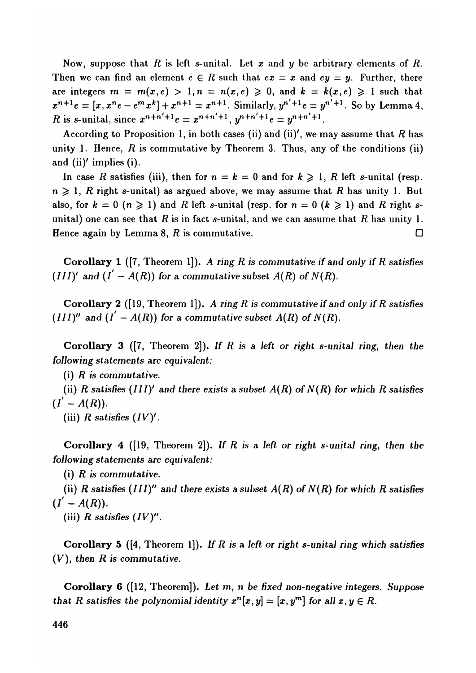Now, suppose that *R* is left s-unital*.* Let *x* and *y* be arbitrary elements of *R.*  Then we can find an element  $e \in R$  such that  $ex = x$  and  $ey = y$ . Further, there are integers  $m = m(x,e) > 1, n = n(x,e) \geq 0$ , and  $k = k(x,e) \geq 1$  such that  $x^{n+1}e = [x, x^ne - e^mx^k] + x^{n+1} = x^{n+1}$ . Similarly,  $y^{n'+1}e = y^{n'+1}$ . So by Lemma 4, *R* is s-unital, since  $x^{n+n'+1}e = x^{n+n'+1}$ ,  $y^{n+n'+1}e = y^{n+n'+1}$ .

According to Proposition 1, in both cases (ii) and (ii)', we may assume that *R* has unity 1. Hence, *R* is commutative by Theorem 3. Thus, any of the conditions (ii) and (ii)' implies (i).

In case *R* satisfies (iii), then for  $n = k = 0$  and for  $k \ge 1$ , *R* left s-unital (resp.  $n \geqslant 1$ , *R* right s-unital) as argued above, we may assume that *R* has unity 1. But also, for  $k = 0$   $(n \ge 1)$  and *R* left s-unital (resp. for  $n = 0$   $(k \ge 1)$  and *R* right sunital) one can see that *R* is in fact s-unital, and we can assume that *R* has unity 1. Hence again by Lemma 8,  $R$  is commutative.  $\Box$ 

**Corollary 1** ([7, Theorem 1]). *A ring R is commutative if and only if R satisfies (III)'* and  $(I' - A(R))$  for a commutative subset  $A(R)$  of  $N(R)$ .

**Corollary** 2 ([19, Theorem 1]). *A ring R is commutative if and only if R satisfies*   $(III)''$  and  $(I' - A(R))$  for a commutative subset  $A(R)$  of  $N(R)$ .

**Corollary 3** ([7, Theorem 2]). *If R is a left or right s-unital ring, then the following statements are equivalent:* 

(i) *R is commutative.* 

(ii)  $R$  satisfies  $(III)'$  and there exists a subset  $A(R)$  of  $N(R)$  for which  $R$  satisfies  $(I' - A(R)).$ 

(iii)  $R$  satisfies  $(IV)'$ .

**Corollary 4** ([19, Theorem 2]). *If R is a left or right s-unital ring, then the following statements are equivalent:* 

(i) *R is commutative.* 

(ii) R satisfies  $(III)''$  and there exists a subset  $A(R)$  of  $N(R)$  for which R satisfies  $(I' - A(R)).$ 

(iii) *R satisfies (IV)".* 

**Corollary 5** ([4, Theorem 1]). *If R is a left or right s-unital ring which satisfies (V), then R is commutative.* 

**Corollary 6** ([12, Theorem]). *Let m, n be fixed non-negative integers. Suppose that R satisfies the polynomial identity*  $x^n[x, y] = [x, y^m]$  for all  $x, y \in R$ .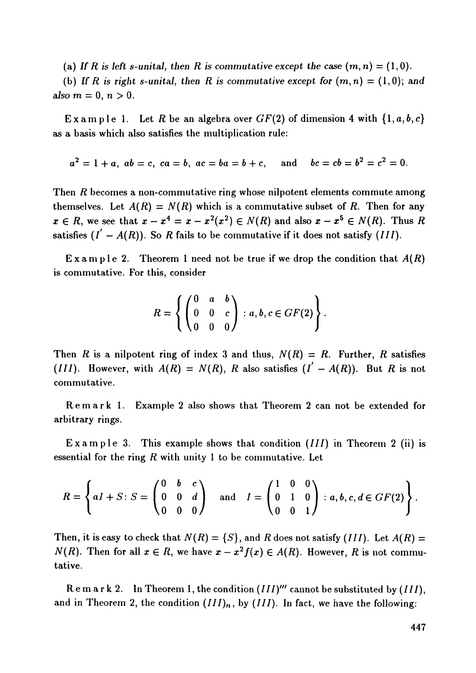(a) If R is left s-unital, then R is commutative except the case  $(m, n) = (1, 0)$ .

(b) If R is right s-unital, then R is commutative except for  $(m, n) = (1, 0)$ ; and also  $m = 0, n > 0$ .

Example 1. Let R be an algebra over  $GF(2)$  of dimension 4 with  $\{1, a, b, c\}$ as a basis which also satisfies the multiplication rule:

$$
a^2 = 1 + a
$$
,  $ab = c$ ,  $ca = b$ ,  $ac = ba = b + c$ , and  $bc = cb = b^2 = c^2 = 0$ .

Then *R* becomes a non-commutative ring whose nilpotent elements commute among themselves. Let  $A(R) = N(R)$  which is a commutative subset of R. Then for any  $x \in R$ , we see that  $x - x^4 = x - x^2(x^2) \in N(R)$  and also  $x - x^5 \in N(R)$ . Thus R satisfies  $(I' - A(R))$ . So R fails to be commutative if it does not satisfy (*III*).

Exampl e *2.* Theorem 1 need not be true if we drop the condition that *A(R)*  is commutative. For this, consider

$$
R = \left\{ \begin{pmatrix} 0 & a & b \\ 0 & 0 & c \\ 0 & 0 & 0 \end{pmatrix} : a, b, c \in GF(2) \right\}.
$$

Then *R* is a nilpotent ring of index 3 and thus,  $N(R) = R$ . Further, *R* satisfies (*III*). However, with  $A(R) = N(R)$ , R also satisfies  $(I' - A(R))$ . But R is not commutative*.* 

Remar k 1*.* Example 2 also shows that Theorem 2 can not be extended for arbitrary rings*.* 

Example 3. This example shows that condition (*III*) in Theorem 2 (ii) is essential for the ring *R* with unity 1 to be commutative*.* Let

$$
R = \left\{ aI + S : S = \begin{pmatrix} 0 & b & c \\ 0 & 0 & d \\ 0 & 0 & 0 \end{pmatrix} \quad \text{and} \quad I = \begin{pmatrix} 1 & 0 & 0 \\ 0 & 1 & 0 \\ 0 & 0 & 1 \end{pmatrix} : a, b, c, d \in GF(2) \right\}.
$$

Then, it is easy to check that  $N(R) = \{S\}$ , and R does not satisfy *(III)*. Let  $A(R) =$ *N*(*R*). Then for all  $x \in R$ , we have  $x - x^2 f(x) \in A(R)$ . However, *R* is not commutative*.* 

Remar k 2*.* In Theorem I, the condition *(III)'"* cannot be substituted *by (III),*  and in Theorem 2, the condition  $(III)_n$ , by  $(III)$ . In fact, we have the following: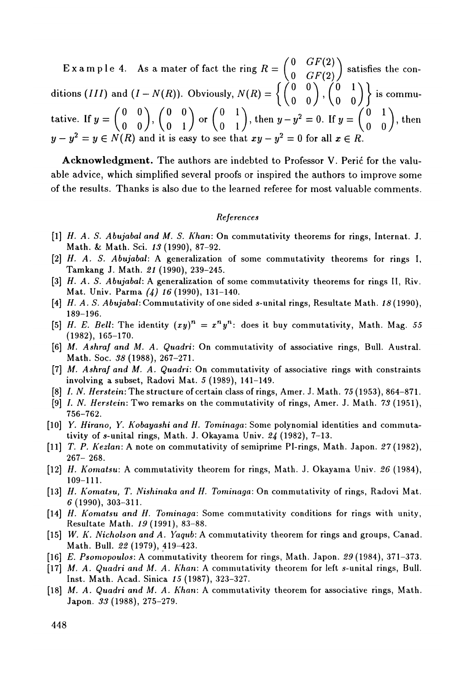$\begin{pmatrix} 0 & GF(2) \\ 0 & GF(2) \end{pmatrix}$  $\left(11\right)$  satisfies the conditions (///) and (/ - *N(R)).* Obviously, *N(R)* = [ ( *° °* J , ( *°* M | is commutative. If  $y = \begin{pmatrix} 0 & 0 \\ 0 & 0 \end{pmatrix}$ ,  $\begin{pmatrix} 0 & 0 \\ 0 & 1 \end{pmatrix}$  or  $\begin{pmatrix} 0 & 1 \\ 0 & 1 \end{pmatrix}$ , then  $y - y^2 = 0$ . If  $y = \begin{pmatrix} 0 & 1 \\ 0 & 0 \end{pmatrix}$ , then  $y - y^2 = y \in N(R)$  and it is easy to see that  $xy - y^2 = 0$  for all  $x \in R$ .

Acknowledgment. The authors are indebted to Professor V. Peric for the valuable advice, which simplified several proofs or inspired the authors to improve some of the results*.* Thanks is also due to the learned referee for most valuable comments*.* 

#### *References*

- **[l]** *H. A. S. Abujabal and M. S. Khan:* O**n** commutativity t**h**eorems fo**r rings,** I**n**te**rn**at. J. Mat**h**. **&** Mat**h**. Sci. *18***(199**0**),** 87-92.
- **[**2**]** *H*. *A. S. Abujabal:* A ge**n**eralizatio**n** o**f** some commutativity t**h**eo**r**ems fo**r ring**s **I,**  Tamka**n**g J. Mat**h**. *21* **(199**0**),** 239-245.
- **[3]** *H*. *A. S. Abujabal:* A ge**n**e**r**alizatio**n** o**f** some commutativity t**h**eo**r**ems fo**r r**i**n**gs **II,** Riv. Mat. U**n**iv. Pa**r**ma *(4) 16***(199**0**), 131**-**1**40.
- **[**4**]** *H*. *A. S. Abujabal:* Commutativity of o**n**esided s-u**n**ital **r**i**n**gs, Resultate Mat**h**. *18***(199**0**), 1**8**9**-**19**6**.**
- [5] *H. E. Bell:* The identity  $(xy)^n = x^n y^n$ : does it buy commutativity, Math. Mag. 55 **(19**82**),** 165-170.
- **[**6**]** *M. Ashraf and M. A. Quadri:* O**n** commutativity of associative **ring**s**,** B**ull.** A**u**st**r**a**l.**  Mat**h**. Soc. *88***(19**88**),** 267-271.
- **[**7**]** *M. Ashraf and M. A. Quadri:* O**n** commutativity o**f** associative **ring**s **wi**t**h** co**n**strai**n**ts i**n**volvi**n**g a subset, Radovi Mat. **5 (19**8**9), 1**4**1**-**1**4**9**.
- **[**8**]** *L N Herstein:* T**h**e st**r**ucture o**f** certai**n** class o**f ring**s**,** Ame**r**. J**.** Mat**h**. 7**5(19**5**3),** 864-871.
- **[9]** *L N Herstein:* Two **r**ema**r**ks o**n** t**h**e commutativity of **ring**s**,** Ame**r**. J. Mat**h**. **7***8* **(19**5**1),**  756-762.
- **[1**0**]** *Y. Hirano, Y. Kobayashi and H. Tominaga:* Some poly**n**omial ide**n**tities a**n**d commuta tivity o**f s**-**uni**ta**l ring**s**,** Mat**h**. J**.** Okayama U**n**iv. *24* **(19**82**),** 7-13.
- **[11]** *T. P. Kezlan:* A **n**ote o**n** commutativity o**f** semip**r**ime Pi-**r**i**n**gs, Mat**h**. Japo**n**. **57(19**82**),**  267- 268.
- **[1**2**]** *H. Komatsu:* A commutativity t**h**eo**r**em fo**r ring**s**,** Mat**h**. J. Okayama U**n**iv. *26* **(**1**9**84**),**  109-111.
- **[**1**3]** *H*. *Komatsu, T. Nishinaka and H. Tominaga:* O**n** commutativity o**f ring**s**,** Radovi Mat. *6***(**1**99**0**), 3**0**3-3**1**1.**
- **[1**4**]** *H. Komatsu and H. Tominaga:* Some commutativity co**n**ditio**n**s fo**r r**i**n**gs wit**h** u**n**ity, Resultate Mat**h**. *19***(1991),** 83-88.
- **[1**5**]** *W. K. Nicholson and A. Yaqub:* A commutativity t**h**eo**r**em fo**r r**i**n**gs a**n**d g**r**oups, Ca**n**ad. Mat**h**. B**ull**. *22* **(19**7**9),** 419-423.
- **[1**6**]** *E. Psomopoulos:* A commutativity t**h**eorem fo**r r**i**ngs,** Mat**h**. Japo**n**. **5***9***(19**84**), 3**7**1-3**7**3**.
- **[1**7**]** *M. A. Quadri and M. A. Khan:* A commutativity t**h**eo**r**em fo**r** left **s-un**ita**l r**i**n**gs, B**u**l**l.**  I**n**st. Mat**h**. Acad. Si**n**ica *1***5(19**87**),** 323-327.
- **[1**8**]** *M. A. Quadri and M. A. Khan:* A commutativity t**h**eorem fo**r** associative **ring**s**,** Mat**h**. Japo**n**. *88***(19**88**),** 275-279.